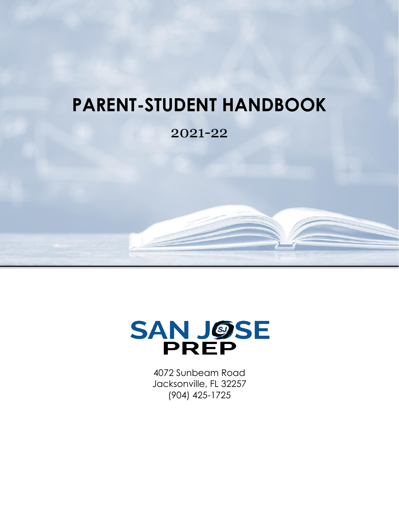# **PARENT-STUDENT HANDBOOK**

### 2021-22



4072 Sunbeam Road Jacksonville, FL 32257 (904) 425-1725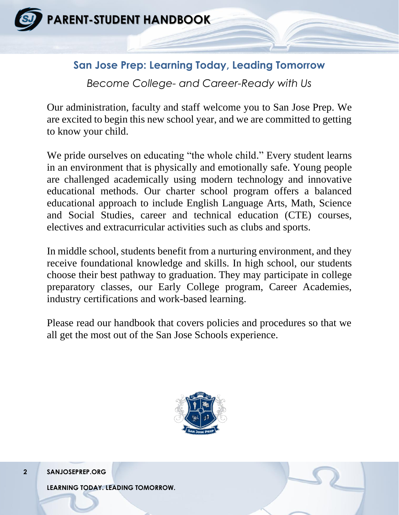

### **San Jose Prep: Learning Today, Leading Tomorrow**

*Become College- and Career-Ready with Us*

Our administration, faculty and staff welcome you to San Jose Prep. We are excited to begin this new school year, and we are committed to getting to know your child.

We pride ourselves on educating "the whole child." Every student learns in an environment that is physically and emotionally safe. Young people are challenged academically using modern technology and innovative educational methods. Our charter school program offers a balanced educational approach to include English Language Arts, Math, Science and Social Studies, career and technical education (CTE) courses, electives and extracurricular activities such as clubs and sports.

In middle school, students benefit from a nurturing environment, and they receive foundational knowledge and skills. In high school, our students choose their best pathway to graduation. They may participate in college preparatory classes, our Early College program, Career Academies, industry certifications and work-based learning.

Please read our handbook that covers policies and procedures so that we all get the most out of the San Jose Schools experience.



**2 SANJOSEPREP.ORG**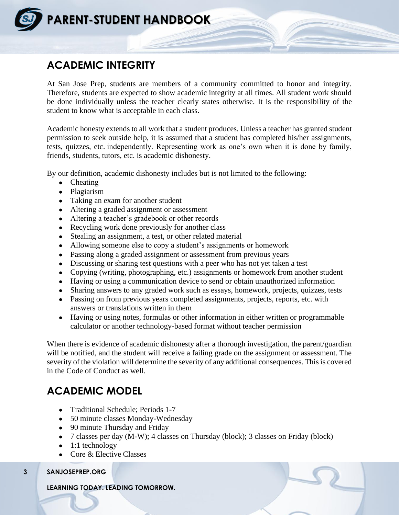

### **ACADEMIC INTEGRITY**

At San Jose Prep, students are members of a community committed to honor and integrity. Therefore, students are expected to show academic integrity at all times. All student work should be done individually unless the teacher clearly states otherwise. It is the responsibility of the student to know what is acceptable in each class.

Academic honesty extends to all work that a student produces. Unless a teacher has granted student permission to seek outside help, it is assumed that a student has completed his/her assignments, tests, quizzes, etc. independently. Representing work as one's own when it is done by family, friends, students, tutors, etc. is academic dishonesty.

By our definition, academic dishonesty includes but is not limited to the following:

- Cheating
- Plagiarism
- Taking an exam for another student
- Altering a graded assignment or assessment
- Altering a teacher's gradebook or other records
- Recycling work done previously for another class
- Stealing an assignment, a test, or other related material
- Allowing someone else to copy a student's assignments or homework
- Passing along a graded assignment or assessment from previous years
- Discussing or sharing test questions with a peer who has not yet taken a test
- Copying (writing, photographing, etc.) assignments or homework from another student
- Having or using a communication device to send or obtain unauthorized information
- Sharing answers to any graded work such as essays, homework, projects, quizzes, tests
- Passing on from previous years completed assignments, projects, reports, etc. with answers or translations written in them
- Having or using notes, formulas or other information in either written or programmable calculator or another technology-based format without teacher permission

When there is evidence of academic dishonesty after a thorough investigation, the parent/guardian will be notified, and the student will receive a failing grade on the assignment or assessment. The severity of the violation will determine the severity of any additional consequences. This is covered in the Code of Conduct as well.

### **ACADEMIC MODEL**

- Traditional Schedule; Periods 1-7
- 50 minute classes Monday-Wednesday
- 90 minute Thursday and Friday
- 7 classes per day (M-W); 4 classes on Thursday (block); 3 classes on Friday (block)
- $\bullet$  1:1 technology
- Core & Elective Classes

**3 SANJOSEPREP.ORG**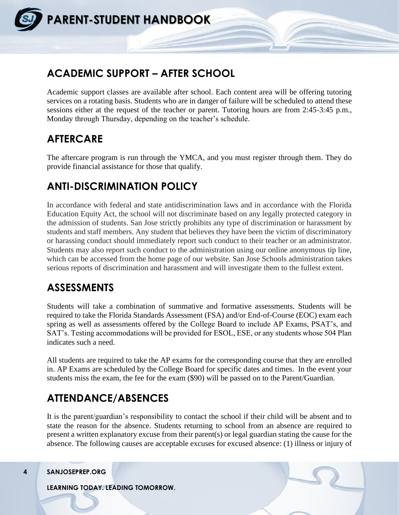

### **ACADEMIC SUPPORT – AFTER SCHOOL**

Academic support classes are available after school. Each content area will be offering tutoring services on a rotating basis. Students who are in danger of failure will be scheduled to attend these sessions either at the request of the teacher or parent. Tutoring hours are from 2:45-3:45 p.m., Monday through Thursday, depending on the teacher's schedule.

### **AFTERCARE**

The aftercare program is run through the YMCA, and you must register through them. They do provide financial assistance for those that qualify.

### **ANTI-DISCRIMINATION POLICY**

In accordance with federal and state antidiscrimination laws and in accordance with the Florida Education Equity Act, the school will not discriminate based on any legally protected category in the admission of students. San Jose strictly prohibits any type of discrimination or harassment by students and staff members. Any student that believes they have been the victim of discriminatory or harassing conduct should immediately report such conduct to their teacher or an administrator. Students may also report such conduct to the administration using our online anonymous tip line, which can be accessed from the home page of our website. San Jose Schools administration takes serious reports of discrimination and harassment and will investigate them to the fullest extent.

### **ASSESSMENTS**

Students will take a combination of summative and formative assessments. Students will be required to take the Florida Standards Assessment (FSA) and/or End-of-Course (EOC) exam each spring as well as assessments offered by the College Board to include AP Exams, PSAT's, and SAT's. Testing accommodations will be provided for ESOL, ESE, or any students whose 504 Plan indicates such a need.

All students are required to take the AP exams for the corresponding course that they are enrolled in. AP Exams are scheduled by the College Board for specific dates and times. In the event your students miss the exam, the fee for the exam (\$90) will be passed on to the Parent/Guardian.

### **ATTENDANCE/ABSENCES**

It is the parent/guardian's responsibility to contact the school if their child will be absent and to state the reason for the absence. Students returning to school from an absence are required to present a written explanatory excuse from their parent(s) or legal guardian stating the cause for the absence. The following causes are acceptable excuses for excused absence: (1) illness or injury of

#### **4 SANJOSEPREP.ORG**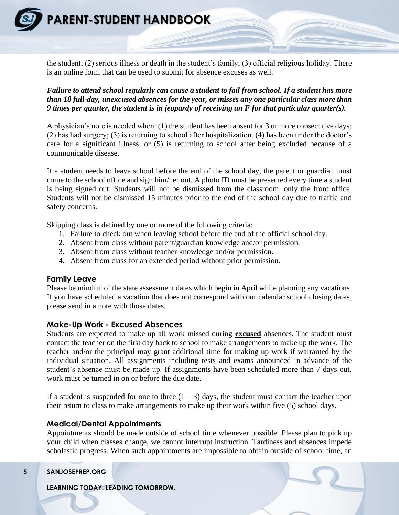

the student; (2) serious illness or death in the student's family; (3) official religious holiday. There is an online form that can be used to submit for absence excuses as well.

*Failure to attend school regularly can cause a student to fail from school. If a student has more than 18 full-day, unexcused absences for the year, or misses any one particular class more than 9 times per quarter, the student is in jeopardy of receiving an F for that particular quarter(s).* 

A physician's note is needed when: (1) the student has been absent for 3 or more consecutive days; (2) has had surgery; (3) is returning to school after hospitalization, (4) has been under the doctor's care for a significant illness, or (5) is returning to school after being excluded because of a communicable disease.

If a student needs to leave school before the end of the school day, the parent or guardian must come to the school office and sign him/her out. A photo ID must be presented every time a student is being signed out. Students will not be dismissed from the classroom, only the front office. Students will not be dismissed 15 minutes prior to the end of the school day due to traffic and safety concerns.

Skipping class is defined by one or more of the following criteria:

- 1. Failure to check out when leaving school before the end of the official school day.
- 2. Absent from class without parent/guardian knowledge and/or permission.
- 3. Absent from class without teacher knowledge and/or permission.
- 4. Absent from class for an extended period without prior permission.

#### **Family Leave**

Please be mindful of the state assessment dates which begin in April while planning any vacations. If you have scheduled a vacation that does not correspond with our calendar school closing dates, please send in a note with those dates.

#### **Make-Up Work - Excused Absences**

Students are expected to make up all work missed during **excused** absences. The student must contact the teacher on the first day back to school to make arrangements to make up the work. The teacher and/or the principal may grant additional time for making up work if warranted by the individual situation. All assignments including tests and exams announced in advance of the student's absence must be made up. If assignments have been scheduled more than 7 days out, work must be turned in on or before the due date.

If a student is suspended for one to three  $(1 – 3)$  days, the student must contact the teacher upon their return to class to make arrangements to make up their work within five (5) school days.

#### **Medical/Dental Appointments**

Appointments should be made outside of school time whenever possible. Please plan to pick up your child when classes change, we cannot interrupt instruction. Tardiness and absences impede scholastic progress. When such appointments are impossible to obtain outside of school time, an

#### **5 SANJOSEPREP.ORG**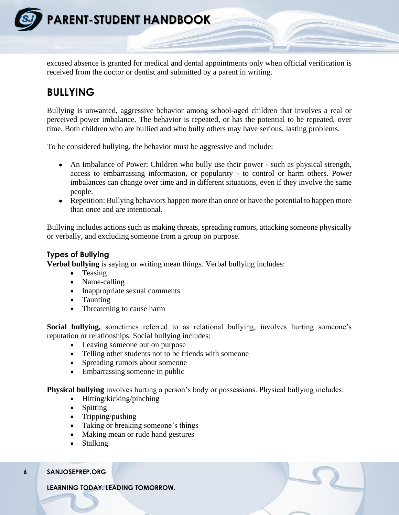

**PARENT-STUDENT HANDBOOK**

excused absence is granted for medical and dental appointments only when official verification is received from the doctor or dentist and submitted by a parent in writing.

### **BULLYING**

Bullying is unwanted, aggressive behavior among school-aged children that involves a real or perceived power imbalance. The behavior is repeated, or has the potential to be repeated, over time. Both children who are bullied and who bully others may have serious, lasting problems.

To be considered bullying, the behavior must be aggressive and include:

- An Imbalance of Power: Children who bully use their power such as physical strength, access to embarrassing information, or popularity - to control or harm others. Power imbalances can change over time and in different situations, even if they involve the same people.
- Repetition: Bullying behaviors happen more than once or have the potential to happen more than once and are intentional.

Bullying includes actions such as making threats, spreading rumors, attacking someone physically or verbally, and excluding someone from a group on purpose.

#### **Types of Bullying**

**Verbal bullying** is saying or writing mean things. Verbal bullying includes:

- Teasing
- Name-calling
- Inappropriate sexual comments
- Taunting
- Threatening to cause harm

**Social bullying,** sometimes referred to as relational bullying, involves hurting someone's reputation or relationships. Social bullying includes:

- Leaving someone out on purpose
- Telling other students not to be friends with someone
- Spreading rumors about someone
- Embarrassing someone in public

**Physical bullying** involves hurting a person's body or possessions. Physical bullying includes:

- Hitting/kicking/pinching
- Spitting
- Tripping/pushing
- Taking or breaking someone's things
- Making mean or rude hand gestures
- Stalking

#### **6 SANJOSEPREP.ORG**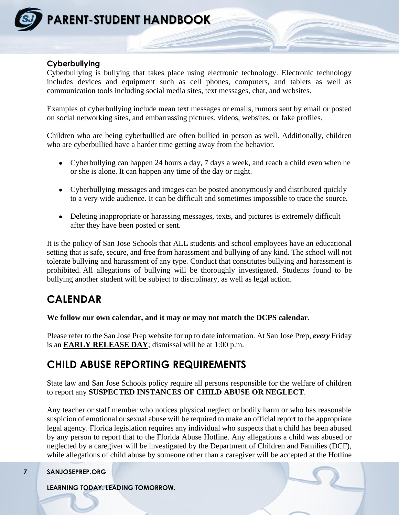

#### **Cyberbullying**

Cyberbullying is bullying that takes place using electronic technology. Electronic technology includes devices and equipment such as cell phones, computers, and tablets as well as communication tools including social media sites, text messages, chat, and websites.

Examples of cyberbullying include mean text messages or emails, rumors sent by email or posted on social networking sites, and embarrassing pictures, videos, websites, or fake profiles.

Children who are being cyberbullied are often bullied in person as well. Additionally, children who are cyberbullied have a harder time getting away from the behavior.

- Cyberbullying can happen 24 hours a day, 7 days a week, and reach a child even when he or she is alone. It can happen any time of the day or night.
- Cyberbullying messages and images can be posted anonymously and distributed quickly to a very wide audience. It can be difficult and sometimes impossible to trace the source.
- Deleting inappropriate or harassing messages, texts, and pictures is extremely difficult after they have been posted or sent.

It is the policy of San Jose Schools that ALL students and school employees have an educational setting that is safe, secure, and free from harassment and bullying of any kind. The school will not tolerate bullying and harassment of any type. Conduct that constitutes bullying and harassment is prohibited. All allegations of bullying will be thoroughly investigated. Students found to be bullying another student will be subject to disciplinary, as well as legal action.

### **CALENDAR**

#### **We follow our own calendar, and it may or may not match the DCPS calendar**.

Please refer to the San Jose Prep website for up to date information. At San Jose Prep, *every* Friday is an **EARLY RELEASE DAY**; dismissal will be at 1:00 p.m.

### **CHILD ABUSE REPORTING REQUIREMENTS**

State law and San Jose Schools policy require all persons responsible for the welfare of children to report any **SUSPECTED INSTANCES OF CHILD ABUSE OR NEGLECT**.

Any teacher or staff member who notices physical neglect or bodily harm or who has reasonable suspicion of emotional or sexual abuse will be required to make an official report to the appropriate legal agency. Florida legislation requires any individual who suspects that a child has been abused by any person to report that to the Florida Abuse Hotline. Any allegations a child was abused or neglected by a caregiver will be investigated by the Department of Children and Families (DCF), while allegations of child abuse by someone other than a caregiver will be accepted at the Hotline

#### **7 SANJOSEPREP.ORG**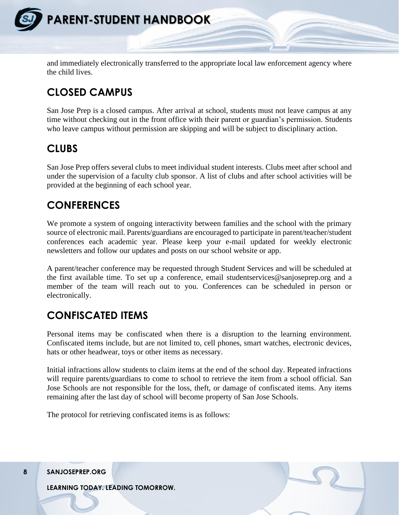

and immediately electronically transferred to the appropriate local law enforcement agency where the child lives.

### **CLOSED CAMPUS**

San Jose Prep is a closed campus. After arrival at school, students must not leave campus at any time without checking out in the front office with their parent or guardian's permission. Students who leave campus without permission are skipping and will be subject to disciplinary action.

### **CLUBS**

San Jose Prep offers several clubs to meet individual student interests. Clubs meet after school and under the supervision of a faculty club sponsor. A list of clubs and after school activities will be provided at the beginning of each school year.

### **CONFERENCES**

We promote a system of ongoing interactivity between families and the school with the primary source of electronic mail. Parents/guardians are encouraged to participate in parent/teacher/student conferences each academic year. Please keep your e-mail updated for weekly electronic newsletters and follow our updates and posts on our school website or app.

A parent/teacher conference may be requested through Student Services and will be scheduled at the first available time. To set up a conference, email studentservices@sanjoseprep.org and a member of the team will reach out to you. Conferences can be scheduled in person or electronically.

### **CONFISCATED ITEMS**

Personal items may be confiscated when there is a disruption to the learning environment. Confiscated items include, but are not limited to, cell phones, smart watches, electronic devices, hats or other headwear, toys or other items as necessary.

Initial infractions allow students to claim items at the end of the school day. Repeated infractions will require parents/guardians to come to school to retrieve the item from a school official. San Jose Schools are not responsible for the loss, theft, or damage of confiscated items. Any items remaining after the last day of school will become property of San Jose Schools.

The protocol for retrieving confiscated items is as follows:

**8 SANJOSEPREP.ORG**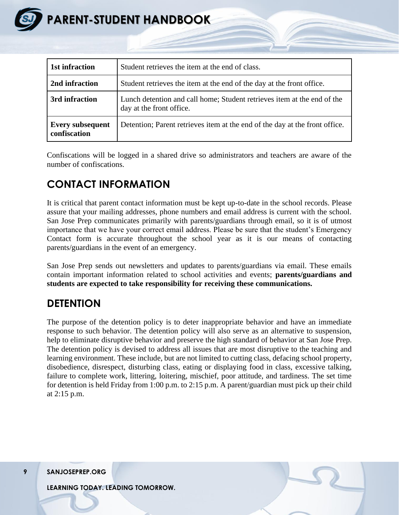

| 1st infraction                          | Student retrieves the item at the end of class.                                                     |  |
|-----------------------------------------|-----------------------------------------------------------------------------------------------------|--|
| 2nd infraction                          | Student retrieves the item at the end of the day at the front office.                               |  |
| 3rd infraction                          | Lunch detention and call home; Student retrieves item at the end of the<br>day at the front office. |  |
| <b>Every subsequent</b><br>confiscation | Detention; Parent retrieves item at the end of the day at the front office.                         |  |

Confiscations will be logged in a shared drive so administrators and teachers are aware of the number of confiscations.

### **CONTACT INFORMATION**

It is critical that parent contact information must be kept up-to-date in the school records. Please assure that your mailing addresses, phone numbers and email address is current with the school. San Jose Prep communicates primarily with parents/guardians through email, so it is of utmost importance that we have your correct email address. Please be sure that the student's Emergency Contact form is accurate throughout the school year as it is our means of contacting parents/guardians in the event of an emergency.

San Jose Prep sends out newsletters and updates to parents/guardians via email. These emails contain important information related to school activities and events; **parents/guardians and students are expected to take responsibility for receiving these communications.**

### **DETENTION**

The purpose of the detention policy is to deter inappropriate behavior and have an immediate response to such behavior. The detention policy will also serve as an alternative to suspension, help to eliminate disruptive behavior and preserve the high standard of behavior at San Jose Prep. The detention policy is devised to address all issues that are most disruptive to the teaching and learning environment. These include, but are not limited to cutting class, defacing school property, disobedience, disrespect, disturbing class, eating or displaying food in class, excessive talking, failure to complete work, littering, loitering, mischief, poor attitude, and tardiness. The set time for detention is held Friday from 1:00 p.m. to 2:15 p.m. A parent/guardian must pick up their child at 2:15 p.m.

**9 SANJOSEPREP.ORG**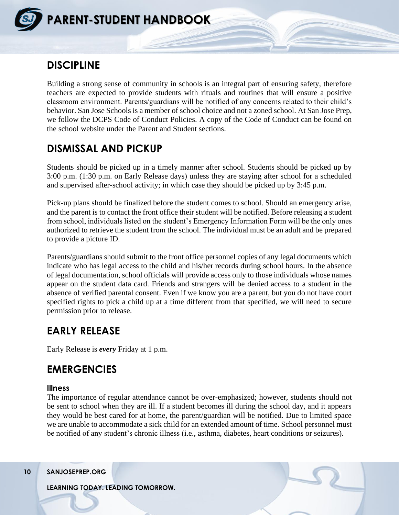

### **DISCIPLINE**

Building a strong sense of community in schools is an integral part of ensuring safety, therefore teachers are expected to provide students with rituals and routines that will ensure a positive classroom environment. Parents/guardians will be notified of any concerns related to their child's behavior. San Jose Schools is a member of school choice and not a zoned school. At San Jose Prep, we follow the DCPS Code of Conduct Policies. A copy of the Code of Conduct can be found on the school website under the Parent and Student sections.

### **DISMISSAL AND PICKUP**

Students should be picked up in a timely manner after school. Students should be picked up by 3:00 p.m. (1:30 p.m. on Early Release days) unless they are staying after school for a scheduled and supervised after-school activity; in which case they should be picked up by 3:45 p.m.

Pick-up plans should be finalized before the student comes to school. Should an emergency arise, and the parent is to contact the front office their student will be notified. Before releasing a student from school, individuals listed on the student's Emergency Information Form will be the only ones authorized to retrieve the student from the school. The individual must be an adult and be prepared to provide a picture ID.

Parents/guardians should submit to the front office personnel copies of any legal documents which indicate who has legal access to the child and his/her records during school hours. In the absence of legal documentation, school officials will provide access only to those individuals whose names appear on the student data card. Friends and strangers will be denied access to a student in the absence of verified parental consent. Even if we know you are a parent, but you do not have court specified rights to pick a child up at a time different from that specified, we will need to secure permission prior to release.

### **EARLY RELEASE**

Early Release is *every* Friday at 1 p.m.

### **EMERGENCIES**

#### **Illness**

The importance of regular attendance cannot be over-emphasized; however, students should not be sent to school when they are ill. If a student becomes ill during the school day, and it appears they would be best cared for at home, the parent/guardian will be notified. Due to limited space we are unable to accommodate a sick child for an extended amount of time. School personnel must be notified of any student's chronic illness (i.e., asthma, diabetes, heart conditions or seizures).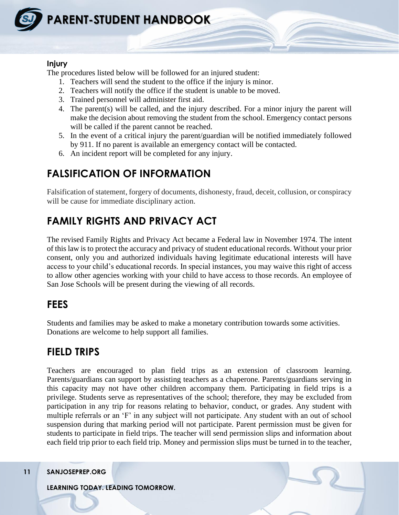

#### **Injury**

The procedures listed below will be followed for an injured student:

- 1. Teachers will send the student to the office if the injury is minor.
- 2. Teachers will notify the office if the student is unable to be moved.
- 3. Trained personnel will administer first aid.
- 4. The parent(s) will be called, and the injury described. For a minor injury the parent will make the decision about removing the student from the school. Emergency contact persons will be called if the parent cannot be reached.
- 5. In the event of a critical injury the parent/guardian will be notified immediately followed by 911. If no parent is available an emergency contact will be contacted.
- 6. An incident report will be completed for any injury.

### **FALSIFICATION OF INFORMATION**

Falsification of statement, forgery of documents, dishonesty, fraud, deceit, collusion, or conspiracy will be cause for immediate disciplinary action.

### **FAMILY RIGHTS AND PRIVACY ACT**

The revised Family Rights and Privacy Act became a Federal law in November 1974. The intent of this law is to protect the accuracy and privacy of student educational records. Without your prior consent, only you and authorized individuals having legitimate educational interests will have access to your child's educational records. In special instances, you may waive this right of access to allow other agencies working with your child to have access to those records. An employee of San Jose Schools will be present during the viewing of all records.

### **FEES**

Students and families may be asked to make a monetary contribution towards some activities. Donations are welcome to help support all families.

### **FIELD TRIPS**

Teachers are encouraged to plan field trips as an extension of classroom learning. Parents/guardians can support by assisting teachers as a chaperone. Parents/guardians serving in this capacity may not have other children accompany them. Participating in field trips is a privilege. Students serve as representatives of the school; therefore, they may be excluded from participation in any trip for reasons relating to behavior, conduct, or grades. Any student with multiple referrals or an 'F' in any subject will not participate. Any student with an out of school suspension during that marking period will not participate. Parent permission must be given for students to participate in field trips. The teacher will send permission slips and information about each field trip prior to each field trip. Money and permission slips must be turned in to the teacher,

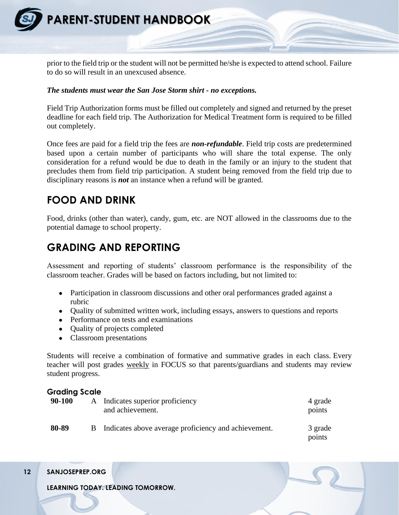

prior to the field trip or the student will not be permitted he/she is expected to attend school. Failure to do so will result in an unexcused absence.

#### *The students must wear the San Jose Storm shirt - no exceptions.*

Field Trip Authorization forms must be filled out completely and signed and returned by the preset deadline for each field trip. The Authorization for Medical Treatment form is required to be filled out completely.

Once fees are paid for a field trip the fees are *non-refundable*. Field trip costs are predetermined based upon a certain number of participants who will share the total expense. The only consideration for a refund would be due to death in the family or an injury to the student that precludes them from field trip participation. A student being removed from the field trip due to disciplinary reasons is *not* an instance when a refund will be granted.

### **FOOD AND DRINK**

Food, drinks (other than water), candy, gum, etc. are NOT allowed in the classrooms due to the potential damage to school property.

### **GRADING AND REPORTING**

Assessment and reporting of students' classroom performance is the responsibility of the classroom teacher. Grades will be based on factors including, but not limited to:

- Participation in classroom discussions and other oral performances graded against a rubric
- Quality of submitted written work, including essays, answers to questions and reports
- Performance on tests and examinations
- Quality of projects completed
- Classroom presentations

Students will receive a combination of formative and summative grades in each class. Every teacher will post grades weekly in FOCUS so that parents/guardians and students may review student progress.

#### **Grading Scale**

| 90-100 | A Indicates superior proficiency<br>and achievement. | 4 grade<br>points |
|--------|------------------------------------------------------|-------------------|
| 80-89  | Indicates above average proficiency and achievement. | 3 grade<br>points |

**12 SANJOSEPREP.ORG**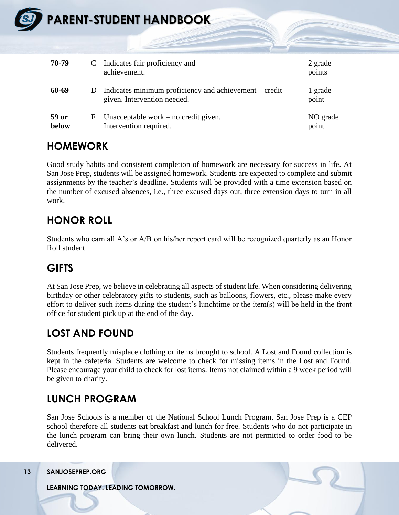| SJ | <b>PARENT-STUDENT HANDBOOK-</b> |   |                                                                                       |                   |  |  |
|----|---------------------------------|---|---------------------------------------------------------------------------------------|-------------------|--|--|
|    | 70-79                           | C | Indicates fair proficiency and<br>achievement.                                        | 2 grade<br>points |  |  |
|    | 60-69                           | D | Indicates minimum proficiency and achievement – credit<br>given. Intervention needed. | 1 grade<br>point  |  |  |
|    | 59 or<br>below                  | F | Unacceptable work $-$ no credit given.<br>Intervention required.                      | NO grade<br>point |  |  |

### **HOMEWORK**

Good study habits and consistent completion of homework are necessary for success in life. At San Jose Prep, students will be assigned homework. Students are expected to complete and submit assignments by the teacher's deadline. Students will be provided with a time extension based on the number of excused absences, i.e., three excused days out, three extension days to turn in all work.

### **HONOR ROLL**

Students who earn all A's or A/B on his/her report card will be recognized quarterly as an Honor Roll student.

### **GIFTS**

At San Jose Prep, we believe in celebrating all aspects of student life. When considering delivering birthday or other celebratory gifts to students, such as balloons, flowers, etc., please make every effort to deliver such items during the student's lunchtime or the item(s) will be held in the front office for student pick up at the end of the day.

### **LOST AND FOUND**

Students frequently misplace clothing or items brought to school. A Lost and Found collection is kept in the cafeteria. Students are welcome to check for missing items in the Lost and Found. Please encourage your child to check for lost items. Items not claimed within a 9 week period will be given to charity.

### **LUNCH PROGRAM**

San Jose Schools is a member of the National School Lunch Program. San Jose Prep is a CEP school therefore all students eat breakfast and lunch for free. Students who do not participate in the lunch program can bring their own lunch. Students are not permitted to order food to be delivered.

**13 SANJOSEPREP.ORG**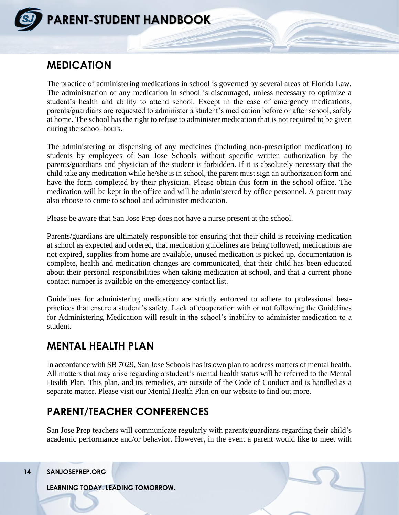

### **MEDICATION**

The practice of administering medications in school is governed by several areas of Florida Law. The administration of any medication in school is discouraged, unless necessary to optimize a student's health and ability to attend school. Except in the case of emergency medications, parents/guardians are requested to administer a student's medication before or after school, safely at home. The school has the right to refuse to administer medication that is not required to be given during the school hours.

The administering or dispensing of any medicines (including non-prescription medication) to students by employees of San Jose Schools without specific written authorization by the parents/guardians and physician of the student is forbidden. If it is absolutely necessary that the child take any medication while he/she is in school, the parent must sign an authorization form and have the form completed by their physician. Please obtain this form in the school office. The medication will be kept in the office and will be administered by office personnel. A parent may also choose to come to school and administer medication.

Please be aware that San Jose Prep does not have a nurse present at the school.

Parents/guardians are ultimately responsible for ensuring that their child is receiving medication at school as expected and ordered, that medication guidelines are being followed, medications are not expired, supplies from home are available, unused medication is picked up, documentation is complete, health and medication changes are communicated, that their child has been educated about their personal responsibilities when taking medication at school, and that a current phone contact number is available on the emergency contact list.

Guidelines for administering medication are strictly enforced to adhere to professional bestpractices that ensure a student's safety. Lack of cooperation with or not following the Guidelines for Administering Medication will result in the school's inability to administer medication to a student.

### **MENTAL HEALTH PLAN**

In accordance with SB 7029, San Jose Schools has its own plan to address matters of mental health. All matters that may arise regarding a student's mental health status will be referred to the Mental Health Plan. This plan, and its remedies, are outside of the Code of Conduct and is handled as a separate matter. Please visit our Mental Health Plan on our website to find out more.

### **PARENT/TEACHER CONFERENCES**

San Jose Prep teachers will communicate regularly with parents/guardians regarding their child's academic performance and/or behavior. However, in the event a parent would like to meet with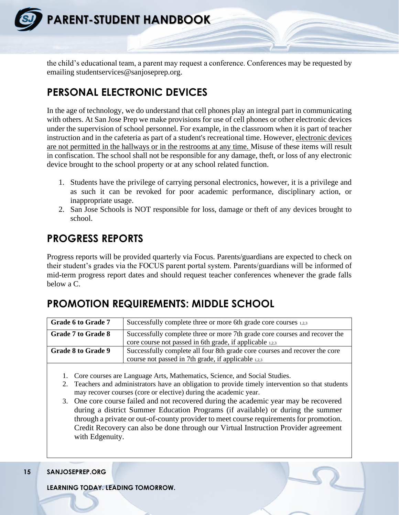

the child's educational team, a parent may request a conference. Conferences may be requested by emailing studentservices@sanjoseprep.org.

### **PERSONAL ELECTRONIC DEVICES**

In the age of technology, we do understand that cell phones play an integral part in communicating with others. At San Jose Prep we make provisions for use of cell phones or other electronic devices under the supervision of school personnel. For example, in the classroom when it is part of teacher instruction and in the cafeteria as part of a student's recreational time. However, electronic devices are not permitted in the hallways or in the restrooms at any time. Misuse of these items will result in confiscation. The school shall not be responsible for any damage, theft, or loss of any electronic device brought to the school property or at any school related function.

- 1. Students have the privilege of carrying personal electronics, however, it is a privilege and as such it can be revoked for poor academic performance, disciplinary action, or inappropriate usage.
- 2. San Jose Schools is NOT responsible for loss, damage or theft of any devices brought to school.

### **PROGRESS REPORTS**

Progress reports will be provided quarterly via Focus. Parents/guardians are expected to check on their student's grades via the FOCUS parent portal system. Parents/guardians will be informed of mid-term progress report dates and should request teacher conferences whenever the grade falls below a C.

### **PROMOTION REQUIREMENTS: MIDDLE SCHOOL**

| <b>Grade 6 to Grade 7</b> | Successfully complete three or more 6th grade core courses 1,2,3                                                                       |  |
|---------------------------|----------------------------------------------------------------------------------------------------------------------------------------|--|
| Grade 7 to Grade 8        | Successfully complete three or more 7th grade core courses and recover the<br>core course not passed in 6th grade, if applicable 1,2,3 |  |
| <b>Grade 8 to Grade 9</b> | Successfully complete all four 8th grade core courses and recover the core<br>course not passed in 7th grade, if applicable 1,2,3      |  |

1. Core courses are Language Arts, Mathematics, Science, and Social Studies.

- 2. Teachers and administrators have an obligation to provide timely intervention so that students may recover courses (core or elective) during the academic year.
- 3. One core course failed and not recovered during the academic year may be recovered during a district Summer Education Programs (if available) or during the summer through a private or out-of-county provider to meet course requirements for promotion. Credit Recovery can also be done through our Virtual Instruction Provider agreement with Edgenuity.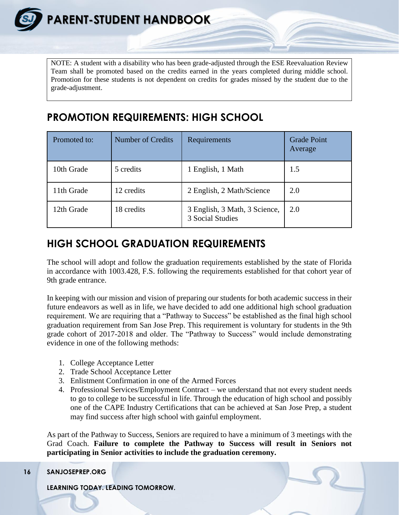NOTE: A student with a disability who has been grade-adjusted through the ESE Reevaluation Review Team shall be promoted based on the credits earned in the years completed during middle school. Promotion for these students is not dependent on credits for grades missed by the student due to the grade-adjustment.

### **PROMOTION REQUIREMENTS: HIGH SCHOOL**

| Promoted to: | <b>Number of Credits</b> | <b>Requirements</b>                               | <b>Grade Point</b><br>Average |
|--------------|--------------------------|---------------------------------------------------|-------------------------------|
| 10th Grade   | 5 credits                | 1 English, 1 Math                                 | 1.5                           |
| 11th Grade   | 12 credits               | 2 English, 2 Math/Science                         | 2.0                           |
| 12th Grade   | 18 credits               | 3 English, 3 Math, 3 Science,<br>3 Social Studies | 2.0                           |

### **HIGH SCHOOL GRADUATION REQUIREMENTS**

The school will adopt and follow the graduation requirements established by the state of Florida in accordance with 1003.428, F.S. following the requirements established for that cohort year of 9th grade entrance.

In keeping with our mission and vision of preparing our students for both academic success in their future endeavors as well as in life, we have decided to add one additional high school graduation requirement. We are requiring that a "Pathway to Success" be established as the final high school graduation requirement from San Jose Prep. This requirement is voluntary for students in the 9th grade cohort of 2017-2018 and older. The "Pathway to Success" would include demonstrating evidence in one of the following methods:

- 1. College Acceptance Letter
- 2. Trade School Acceptance Letter
- 3. Enlistment Confirmation in one of the Armed Forces
- 4. Professional Services/Employment Contract we understand that not every student needs to go to college to be successful in life. Through the education of high school and possibly one of the CAPE Industry Certifications that can be achieved at San Jose Prep, a student may find success after high school with gainful employment.

As part of the Pathway to Success, Seniors are required to have a minimum of 3 meetings with the Grad Coach. **Failure to complete the Pathway to Success will result in Seniors not participating in Senior activities to include the graduation ceremony.** 

```
16 SANJOSEPREP.ORG
```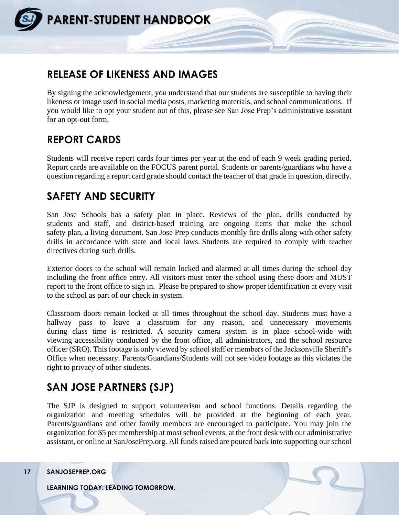

### **RELEASE OF LIKENESS AND IMAGES**

By signing the acknowledgement, you understand that our students are susceptible to having their likeness or image used in social media posts, marketing materials, and school communications. If you would like to opt your student out of this, please see San Jose Prep's administrative assistant for an opt-out form.

### **REPORT CARDS**

Students will receive report cards four times per year at the end of each 9 week grading period. Report cards are available on the FOCUS parent portal. Students or parents/guardians who have a question regarding a report card grade should contact the teacher of that grade in question, directly.

### **SAFETY AND SECURITY**

San Jose Schools has a safety plan in place. Reviews of the plan, drills conducted by students and staff, and district-based training are ongoing items that make the school safety plan, a living document. San Jose Prep conducts monthly fire drills along with other safety drills in accordance with state and local laws. Students are required to comply with teacher directives during such drills.

Exterior doors to the school will remain locked and alarmed at all times during the school day including the front office entry. All visitors must enter the school using these doors and MUST report to the front office to sign in. Please be prepared to show proper identification at every visit to the school as part of our check in system.

Classroom doors remain locked at all times throughout the school day. Students must have a hallway pass to leave a classroom for any reason, and unnecessary movements during class time is restricted. A security camera system is in place school-wide with viewing accessibility conducted by the front office, all administrators, and the school resource officer (SRO). This footage is only viewed by school staff or members of the Jacksonville Sheriff's Office when necessary. Parents/Guardians/Students will not see video footage as this violates the right to privacy of other students.

### **SAN JOSE PARTNERS (SJP)**

The SJP is designed to support volunteerism and school functions. Details regarding the organization and meeting schedules will be provided at the beginning of each year. Parents/guardians and other family members are encouraged to participate. You may join the organization for \$5 per membership at most school events, at the front desk with our administrative assistant, or online at SanJosePrep.org. All funds raised are poured back into supporting our school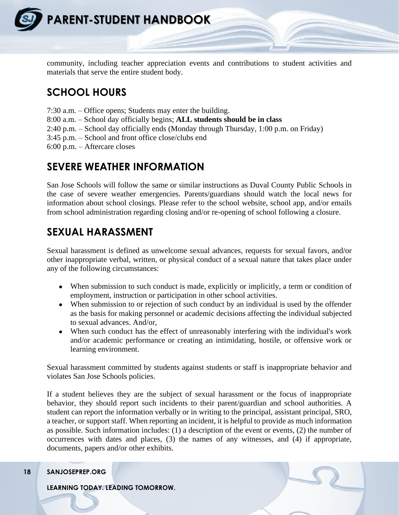

community, including teacher appreciation events and contributions to student activities and materials that serve the entire student body.

### **SCHOOL HOURS**

- 7:30 a.m. Office opens; Students may enter the building.
- 8:00 a.m. School day officially begins; **ALL students should be in class**
- 2:40 p.m. School day officially ends (Monday through Thursday, 1:00 p.m. on Friday)
- 3:45 p.m. School and front office close/clubs end
- 6:00 p.m. Aftercare closes

### **SEVERE WEATHER INFORMATION**

San Jose Schools will follow the same or similar instructions as Duval County Public Schools in the case of severe weather emergencies. Parents/guardians should watch the local news for information about school closings. Please refer to the school website, school app, and/or emails from school administration regarding closing and/or re-opening of school following a closure.

### **SEXUAL HARASSMENT**

Sexual harassment is defined as unwelcome sexual advances, requests for sexual favors, and/or other inappropriate verbal, written, or physical conduct of a sexual nature that takes place under any of the following circumstances:

- When submission to such conduct is made, explicitly or implicitly, a term or condition of employment, instruction or participation in other school activities.
- When submission to or rejection of such conduct by an individual is used by the offender as the basis for making personnel or academic decisions affecting the individual subjected to sexual advances. And/or,
- When such conduct has the effect of unreasonably interfering with the individual's work and/or academic performance or creating an intimidating, hostile, or offensive work or learning environment.

Sexual harassment committed by students against students or staff is inappropriate behavior and violates San Jose Schools policies.

If a student believes they are the subject of sexual harassment or the focus of inappropriate behavior, they should report such incidents to their parent/guardian and school authorities. A student can report the information verbally or in writing to the principal, assistant principal, SRO, a teacher, or support staff. When reporting an incident, it is helpful to provide as much information as possible. Such information includes: (1) a description of the event or events, (2) the number of occurrences with dates and places, (3) the names of any witnesses, and (4) if appropriate, documents, papers and/or other exhibits.

#### **18 SANJOSEPREP.ORG**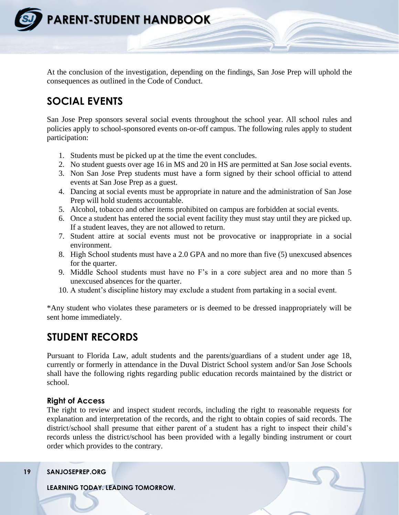

At the conclusion of the investigation, depending on the findings, San Jose Prep will uphold the consequences as outlined in the Code of Conduct.

### **SOCIAL EVENTS**

San Jose Prep sponsors several social events throughout the school year. All school rules and policies apply to school-sponsored events on-or-off campus. The following rules apply to student participation:

- 1. Students must be picked up at the time the event concludes.
- 2. No student guests over age 16 in MS and 20 in HS are permitted at San Jose social events.
- 3. Non San Jose Prep students must have a form signed by their school official to attend events at San Jose Prep as a guest.
- 4. Dancing at social events must be appropriate in nature and the administration of San Jose Prep will hold students accountable.
- 5. Alcohol, tobacco and other items prohibited on campus are forbidden at social events.
- 6. Once a student has entered the social event facility they must stay until they are picked up. If a student leaves, they are not allowed to return.
- 7. Student attire at social events must not be provocative or inappropriate in a social environment.
- 8. High School students must have a 2.0 GPA and no more than five (5) unexcused absences for the quarter.
- 9. Middle School students must have no F's in a core subject area and no more than 5 unexcused absences for the quarter.
- 10. A student's discipline history may exclude a student from partaking in a social event.

\*Any student who violates these parameters or is deemed to be dressed inappropriately will be sent home immediately.

### **STUDENT RECORDS**

Pursuant to Florida Law, adult students and the parents/guardians of a student under age 18, currently or formerly in attendance in the Duval District School system and/or San Jose Schools shall have the following rights regarding public education records maintained by the district or school.

#### **Right of Access**

The right to review and inspect student records, including the right to reasonable requests for explanation and interpretation of the records, and the right to obtain copies of said records. The district/school shall presume that either parent of a student has a right to inspect their child's records unless the district/school has been provided with a legally binding instrument or court order which provides to the contrary.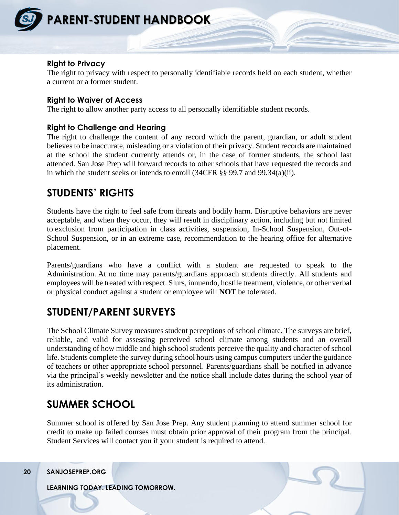

#### **Right to Privacy**

The right to privacy with respect to personally identifiable records held on each student, whether a current or a former student.

#### **Right to Waiver of Access**

The right to allow another party access to all personally identifiable student records.

#### **Right to Challenge and Hearing**

The right to challenge the content of any record which the parent, guardian, or adult student believes to be inaccurate, misleading or a violation of their privacy. Student records are maintained at the school the student currently attends or, in the case of former students, the school last attended. San Jose Prep will forward records to other schools that have requested the records and in which the student seeks or intends to enroll (34CFR §§ 99.7 and 99.34(a)(ii).

### **STUDENTS' RIGHTS**

Students have the right to feel safe from threats and bodily harm. Disruptive behaviors are never acceptable, and when they occur, they will result in disciplinary action, including but not limited to exclusion from participation in class activities, suspension, In-School Suspension, Out-of-School Suspension, or in an extreme case, recommendation to the hearing office for alternative placement.

Parents/guardians who have a conflict with a student are requested to speak to the Administration. At no time may parents/guardians approach students directly. All students and employees will be treated with respect. Slurs, innuendo, hostile treatment, violence, or other verbal or physical conduct against a student or employee will **NOT** be tolerated.

### **STUDENT/PARENT SURVEYS**

The School Climate Survey measures student perceptions of school climate. The surveys are brief, reliable, and valid for assessing perceived school climate among students and an overall understanding of how middle and high school students perceive the quality and character of school life. Students complete the survey during school hours using campus computers under the guidance of teachers or other appropriate school personnel. Parents/guardians shall be notified in advance via the principal's weekly newsletter and the notice shall include dates during the school year of its administration.

### **SUMMER SCHOOL**

Summer school is offered by San Jose Prep. Any student planning to attend summer school for credit to make up failed courses must obtain prior approval of their program from the principal. Student Services will contact you if your student is required to attend.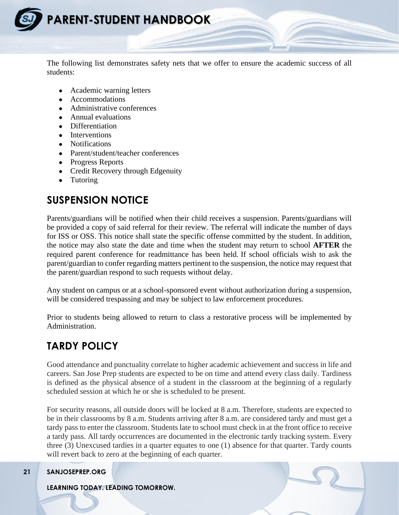

The following list demonstrates safety nets that we offer to ensure the academic success of all students:

- Academic warning letters
- Accommodations
- Administrative conferences
- Annual evaluations
- Differentiation
- Interventions
- Notifications
- Parent/student/teacher conferences
- Progress Reports
- Credit Recovery through Edgenuity
- Tutoring

### **SUSPENSION NOTICE**

Parents/guardians will be notified when their child receives a suspension. Parents/guardians will be provided a copy of said referral for their review. The referral will indicate the number of days for ISS or OSS. This notice shall state the specific offense committed by the student. In addition, the notice may also state the date and time when the student may return to school **AFTER** the required parent conference for readmittance has been held. If school officials wish to ask the parent/guardian to confer regarding matters pertinent to the suspension, the notice may request that the parent/guardian respond to such requests without delay.

Any student on campus or at a school-sponsored event without authorization during a suspension, will be considered trespassing and may be subject to law enforcement procedures.

Prior to students being allowed to return to class a restorative process will be implemented by Administration.

### **TARDY POLICY**

Good attendance and punctuality correlate to higher academic achievement and success in life and careers. San Jose Prep students are expected to be on time and attend every class daily. Tardiness is defined as the physical absence of a student in the classroom at the beginning of a regularly scheduled session at which he or she is scheduled to be present.

For security reasons, all outside doors will be locked at 8 a.m. Therefore, students are expected to be in their classrooms by 8 a.m. Students arriving after 8 a.m. are considered tardy and must get a tardy pass to enter the classroom. Students late to school must check in at the front office to receive a tardy pass. All tardy occurrences are documented in the electronic tardy tracking system. Every three (3) Unexcused tardies in a quarter equates to one (1) absence for that quarter. Tardy counts will revert back to zero at the beginning of each quarter.

#### **21 SANJOSEPREP.ORG**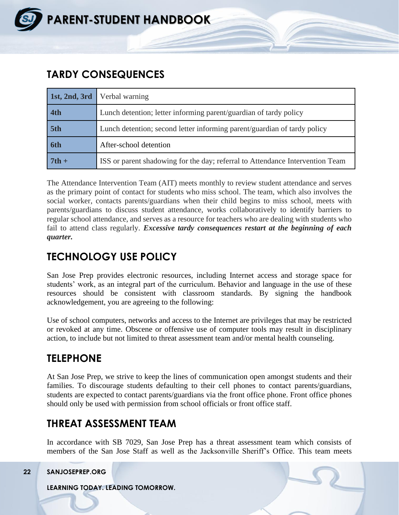

### **TARDY CONSEQUENCES**

| 1st, 2nd, 3rd | Verbal warning                                                                |  |
|---------------|-------------------------------------------------------------------------------|--|
| 4th           | Lunch detention; letter informing parent/guardian of tardy policy             |  |
| 5th           | Lunch detention; second letter informing parent/guardian of tardy policy      |  |
| 6th           | After-school detention                                                        |  |
| $7th +$       | ISS or parent shadowing for the day; referral to Attendance Intervention Team |  |

The Attendance Intervention Team (AIT) meets monthly to review student attendance and serves as the primary point of contact for students who miss school. The team, which also involves the social worker, contacts parents/guardians when their child begins to miss school, meets with parents/guardians to discuss student attendance, works collaboratively to identify barriers to regular school attendance, and serves as a resource for teachers who are dealing with students who fail to attend class regularly. *Excessive tardy consequences restart at the beginning of each quarter.*

### **TECHNOLOGY USE POLICY**

San Jose Prep provides electronic resources, including Internet access and storage space for students' work, as an integral part of the curriculum. Behavior and language in the use of these resources should be consistent with classroom standards. By signing the handbook acknowledgement, you are agreeing to the following:

Use of school computers, networks and access to the Internet are privileges that may be restricted or revoked at any time. Obscene or offensive use of computer tools may result in disciplinary action, to include but not limited to threat assessment team and/or mental health counseling.

### **TELEPHONE**

At San Jose Prep, we strive to keep the lines of communication open amongst students and their families. To discourage students defaulting to their cell phones to contact parents/guardians, students are expected to contact parents/guardians via the front office phone. Front office phones should only be used with permission from school officials or front office staff.

### **THREAT ASSESSMENT TEAM**

In accordance with SB 7029, San Jose Prep has a threat assessment team which consists of members of the San Jose Staff as well as the Jacksonville Sheriff's Office. This team meets

**22 SANJOSEPREP.ORG**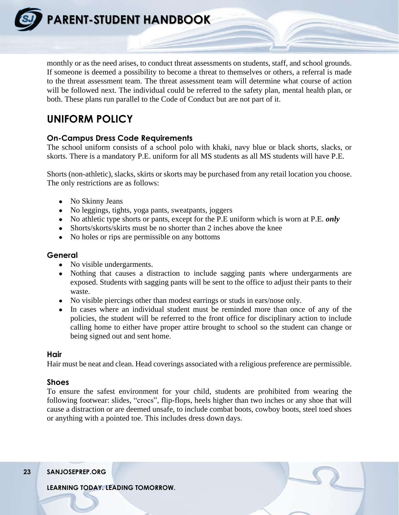**PARENT-STUDENT HANDBOOK**

monthly or as the need arises, to conduct threat assessments on students, staff, and school grounds. If someone is deemed a possibility to become a threat to themselves or others, a referral is made to the threat assessment team. The threat assessment team will determine what course of action will be followed next. The individual could be referred to the safety plan, mental health plan, or both. These plans run parallel to the Code of Conduct but are not part of it.

### **UNIFORM POLICY**

#### **On-Campus Dress Code Requirements**

The school uniform consists of a school polo with khaki, navy blue or black shorts, slacks, or skorts. There is a mandatory P.E. uniform for all MS students as all MS students will have P.E.

Shorts (non-athletic), slacks, skirts or skorts may be purchased from any retail location you choose. The only restrictions are as follows:

- No Skinny Jeans
- No leggings, tights, yoga pants, sweatpants, joggers
- No athletic type shorts or pants, except for the P.E uniform which is worn at P.E. *only*
- Shorts/skorts/skirts must be no shorter than 2 inches above the knee
- No holes or rips are permissible on any bottoms

#### **General**

- No visible undergarments.
- Nothing that causes a distraction to include sagging pants where undergarments are exposed. Students with sagging pants will be sent to the office to adjust their pants to their waste.
- No visible piercings other than modest earrings or studs in ears/nose only.
- In cases where an individual student must be reminded more than once of any of the policies, the student will be referred to the front office for disciplinary action to include calling home to either have proper attire brought to school so the student can change or being signed out and sent home.

#### **Hair**

Hair must be neat and clean. Head coverings associated with a religious preference are permissible.

#### **Shoes**

To ensure the safest environment for your child, students are prohibited from wearing the following footwear: slides, "crocs", flip-flops, heels higher than two inches or any shoe that will cause a distraction or are deemed unsafe, to include combat boots, cowboy boots, steel toed shoes or anything with a pointed toe. This includes dress down days.

**23 SANJOSEPREP.ORG**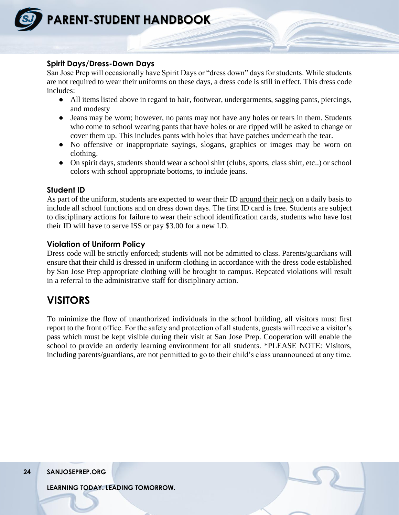

#### **Spirit Days/Dress-Down Days**

San Jose Prep will occasionally have Spirit Days or "dress down" days for students. While students are not required to wear their uniforms on these days, a dress code is still in effect. This dress code includes:

- All items listed above in regard to hair, footwear, undergarments, sagging pants, piercings, and modesty
- Jeans may be worn; however, no pants may not have any holes or tears in them. Students who come to school wearing pants that have holes or are ripped will be asked to change or cover them up. This includes pants with holes that have patches underneath the tear.
- No offensive or inappropriate sayings, slogans, graphics or images may be worn on clothing.
- On spirit days, students should wear a school shirt (clubs, sports, class shirt, etc..) or school colors with school appropriate bottoms, to include jeans.

#### **Student ID**

As part of the uniform, students are expected to wear their ID around their neck on a daily basis to include all school functions and on dress down days. The first ID card is free. Students are subject to disciplinary actions for failure to wear their school identification cards, students who have lost their ID will have to serve ISS or pay \$3.00 for a new I.D.

#### **Violation of Uniform Policy**

Dress code will be strictly enforced; students will not be admitted to class. Parents/guardians will ensure that their child is dressed in uniform clothing in accordance with the dress code established by San Jose Prep appropriate clothing will be brought to campus. Repeated violations will result in a referral to the administrative staff for disciplinary action.

### **VISITORS**

To minimize the flow of unauthorized individuals in the school building, all visitors must first report to the front office. For the safety and protection of all students, guests will receive a visitor's pass which must be kept visible during their visit at San Jose Prep. Cooperation will enable the school to provide an orderly learning environment for all students. \*PLEASE NOTE: Visitors, including parents/guardians, are not permitted to go to their child's class unannounced at any time.

**24 SANJOSEPREP.ORG**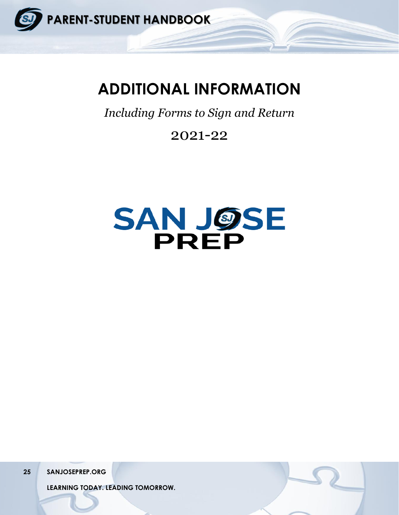

## **ADDITIONAL INFORMATION**

*Including Forms to Sign and Return*

## 2021-22



**25 SANJOSEPREP.ORG**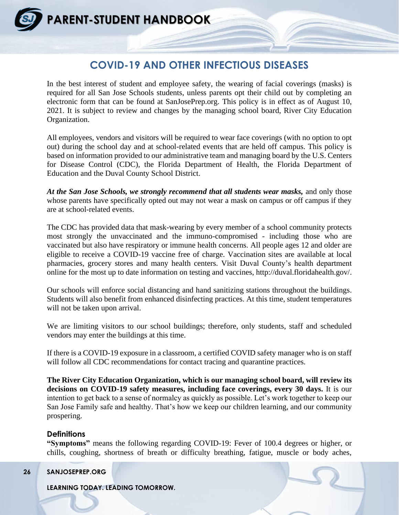### **COVID-19 AND OTHER INFECTIOUS DISEASES**

In the best interest of student and employee safety, the wearing of facial coverings (masks) is required for all San Jose Schools students, unless parents opt their child out by completing an electronic form that can be found at SanJosePrep.org. This policy is in effect as of August 10, 2021. It is subject to review and changes by the managing school board, River City Education Organization.

All employees, vendors and visitors will be required to wear face coverings (with no option to opt out) during the school day and at school-related events that are held off campus. This policy is based on information provided to our administrative team and managing board by the U.S. Centers for Disease Control (CDC), the Florida Department of Health, the Florida Department of Education and the Duval County School District.

*At the San Jose Schools, we strongly recommend that all students wear masks,* and only those whose parents have specifically opted out may not wear a mask on campus or off campus if they are at school-related events.

The CDC has provided data that mask-wearing by every member of a school community protects most strongly the unvaccinated and the immuno-compromised - including those who are vaccinated but also have respiratory or immune health concerns. All people ages 12 and older are eligible to receive a COVID-19 vaccine free of charge. Vaccination sites are available at local pharmacies, grocery stores and many health centers. Visit Duval County's health department online for the most up to date information on testing and vaccines, http://duval.floridahealth.gov/.

Our schools will enforce social distancing and hand sanitizing stations throughout the buildings. Students will also benefit from enhanced disinfecting practices. At this time, student temperatures will not be taken upon arrival.

We are limiting visitors to our school buildings; therefore, only students, staff and scheduled vendors may enter the buildings at this time.

If there is a COVID-19 exposure in a classroom, a certified COVID safety manager who is on staff will follow all CDC recommendations for contact tracing and quarantine practices.

**The River City Education Organization, which is our managing school board, will review its decisions on COVID-19 safety measures, including face coverings, every 30 days.** It is our intention to get back to a sense of normalcy as quickly as possible. Let's work together to keep our San Jose Family safe and healthy. That's how we keep our children learning, and our community prospering.

#### **Definitions**

**"Symptoms"** means the following regarding COVID-19: Fever of 100.4 degrees or higher, or chills, coughing, shortness of breath or difficulty breathing, fatigue, muscle or body aches,

**26 SANJOSEPREP.ORG**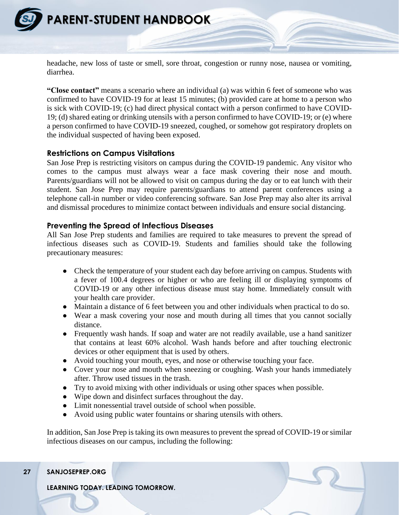

headache, new loss of taste or smell, sore throat, congestion or runny nose, nausea or vomiting, diarrhea.

**"Close contact"** means a scenario where an individual (a) was within 6 feet of someone who was confirmed to have COVID-19 for at least 15 minutes; (b) provided care at home to a person who is sick with COVID-19; (c) had direct physical contact with a person confirmed to have COVID-19; (d) shared eating or drinking utensils with a person confirmed to have COVID-19; or (e) where a person confirmed to have COVID-19 sneezed, coughed, or somehow got respiratory droplets on the individual suspected of having been exposed.

#### **Restrictions on Campus Visitations**

San Jose Prep is restricting visitors on campus during the COVID-19 pandemic. Any visitor who comes to the campus must always wear a face mask covering their nose and mouth. Parents/guardians will not be allowed to visit on campus during the day or to eat lunch with their student. San Jose Prep may require parents/guardians to attend parent conferences using a telephone call-in number or video conferencing software. San Jose Prep may also alter its arrival and dismissal procedures to minimize contact between individuals and ensure social distancing.

#### **Preventing the Spread of Infectious Diseases**

All San Jose Prep students and families are required to take measures to prevent the spread of infectious diseases such as COVID-19. Students and families should take the following precautionary measures:

- Check the temperature of your student each day before arriving on campus. Students with a fever of 100.4 degrees or higher or who are feeling ill or displaying symptoms of COVID-19 or any other infectious disease must stay home. Immediately consult with your health care provider.
- Maintain a distance of 6 feet between you and other individuals when practical to do so.
- Wear a mask covering your nose and mouth during all times that you cannot socially distance.
- Frequently wash hands. If soap and water are not readily available, use a hand sanitizer that contains at least 60% alcohol. Wash hands before and after touching electronic devices or other equipment that is used by others.
- Avoid touching your mouth, eyes, and nose or otherwise touching your face.
- Cover your nose and mouth when sneezing or coughing. Wash your hands immediately after. Throw used tissues in the trash.
- Try to avoid mixing with other individuals or using other spaces when possible.
- Wipe down and disinfect surfaces throughout the day.
- Limit nonessential travel outside of school when possible.
- Avoid using public water fountains or sharing utensils with others.

In addition, San Jose Prep is taking its own measures to prevent the spread of COVID-19 or similar infectious diseases on our campus, including the following:

#### **27 SANJOSEPREP.ORG**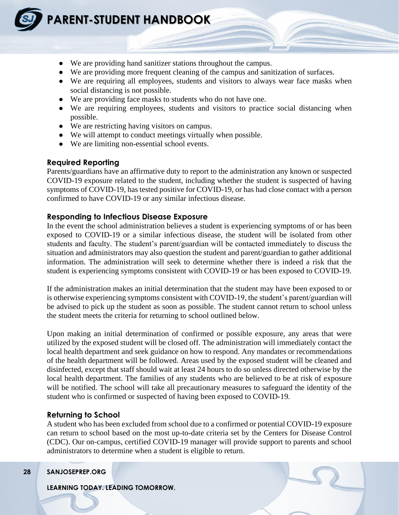

- We are providing hand sanitizer stations throughout the campus.
- We are providing more frequent cleaning of the campus and sanitization of surfaces.
- We are requiring all employees, students and visitors to always wear face masks when social distancing is not possible.
- We are providing face masks to students who do not have one.
- We are requiring employees, students and visitors to practice social distancing when possible.
- We are restricting having visitors on campus.
- We will attempt to conduct meetings virtually when possible.
- We are limiting non-essential school events.

#### **Required Reporting**

Parents/guardians have an affirmative duty to report to the administration any known or suspected COVID-19 exposure related to the student, including whether the student is suspected of having symptoms of COVID-19, has tested positive for COVID-19, or has had close contact with a person confirmed to have COVID-19 or any similar infectious disease.

#### **Responding to Infectious Disease Exposure**

In the event the school administration believes a student is experiencing symptoms of or has been exposed to COVID-19 or a similar infectious disease, the student will be isolated from other students and faculty. The student's parent/guardian will be contacted immediately to discuss the situation and administrators may also question the student and parent/guardian to gather additional information. The administration will seek to determine whether there is indeed a risk that the student is experiencing symptoms consistent with COVID-19 or has been exposed to COVID-19.

If the administration makes an initial determination that the student may have been exposed to or is otherwise experiencing symptoms consistent with COVID-19, the student's parent/guardian will be advised to pick up the student as soon as possible. The student cannot return to school unless the student meets the criteria for returning to school outlined below.

Upon making an initial determination of confirmed or possible exposure, any areas that were utilized by the exposed student will be closed off. The administration will immediately contact the local health department and seek guidance on how to respond. Any mandates or recommendations of the health department will be followed. Areas used by the exposed student will be cleaned and disinfected, except that staff should wait at least 24 hours to do so unless directed otherwise by the local health department. The families of any students who are believed to be at risk of exposure will be notified. The school will take all precautionary measures to safeguard the identity of the student who is confirmed or suspected of having been exposed to COVID-19.

#### **Returning to School**

A student who has been excluded from school due to a confirmed or potential COVID-19 exposure can return to school based on the most up-to-date criteria set by the Centers for Disease Control (CDC). Our on-campus, certified COVID-19 manager will provide support to parents and school administrators to determine when a student is eligible to return.

#### **28 SANJOSEPREP.ORG**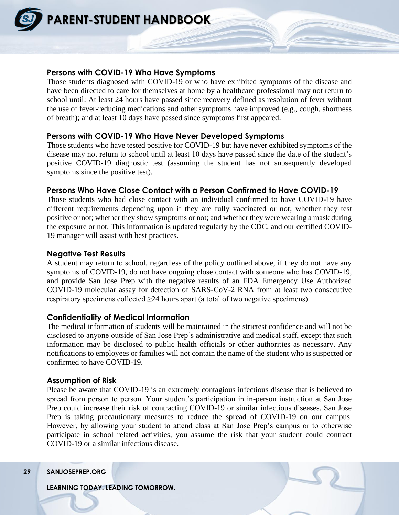

#### **Persons with COVID-19 Who Have Symptoms**

Those students diagnosed with COVID-19 or who have exhibited symptoms of the disease and have been directed to care for themselves at home by a healthcare professional may not return to school until: At least 24 hours have passed since recovery defined as resolution of fever without the use of fever-reducing medications and other symptoms have improved (e.g., cough, shortness of breath); and at least 10 days have passed since symptoms first appeared.

#### **Persons with COVID-19 Who Have Never Developed Symptoms**

Those students who have tested positive for COVID-19 but have never exhibited symptoms of the disease may not return to school until at least 10 days have passed since the date of the student's positive COVID-19 diagnostic test (assuming the student has not subsequently developed symptoms since the positive test).

#### **Persons Who Have Close Contact with a Person Confirmed to Have COVID-19**

Those students who had close contact with an individual confirmed to have COVID-19 have different requirements depending upon if they are fully vaccinated or not; whether they test positive or not; whether they show symptoms or not; and whether they were wearing a mask during the exposure or not. This information is updated regularly by the CDC, and our certified COVID-19 manager will assist with best practices.

#### **Negative Test Results**

A student may return to school, regardless of the policy outlined above, if they do not have any symptoms of COVID-19, do not have ongoing close contact with someone who has COVID-19, and provide San Jose Prep with the negative results of an FDA Emergency Use Authorized COVID-19 molecular assay for detection of SARS-CoV-2 RNA from at least two consecutive respiratory specimens collected  $\geq$ 24 hours apart (a total of two negative specimens).

#### **Confidentiality of Medical Information**

The medical information of students will be maintained in the strictest confidence and will not be disclosed to anyone outside of San Jose Prep's administrative and medical staff, except that such information may be disclosed to public health officials or other authorities as necessary. Any notifications to employees or families will not contain the name of the student who is suspected or confirmed to have COVID-19.

#### **Assumption of Risk**

Please be aware that COVID-19 is an extremely contagious infectious disease that is believed to spread from person to person. Your student's participation in in-person instruction at San Jose Prep could increase their risk of contracting COVID-19 or similar infectious diseases. San Jose Prep is taking precautionary measures to reduce the spread of COVID-19 on our campus. However, by allowing your student to attend class at San Jose Prep's campus or to otherwise participate in school related activities, you assume the risk that your student could contract COVID-19 or a similar infectious disease.

#### **29 SANJOSEPREP.ORG**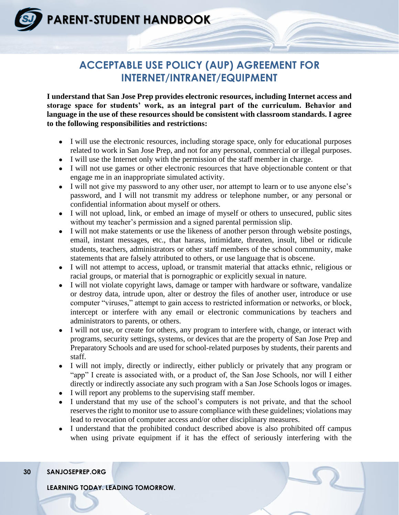### **ACCEPTABLE USE POLICY (AUP) AGREEMENT FOR INTERNET/INTRANET/EQUIPMENT**

**I understand that San Jose Prep provides electronic resources, including Internet access and storage space for students' work, as an integral part of the curriculum. Behavior and language in the use of these resources should be consistent with classroom standards. I agree to the following responsibilities and restrictions:** 

- I will use the electronic resources, including storage space, only for educational purposes related to work in San Jose Prep, and not for any personal, commercial or illegal purposes.
- I will use the Internet only with the permission of the staff member in charge.
- I will not use games or other electronic resources that have objectionable content or that engage me in an inappropriate simulated activity.
- I will not give my password to any other user, nor attempt to learn or to use anyone else's password, and I will not transmit my address or telephone number, or any personal or confidential information about myself or others.
- I will not upload, link, or embed an image of myself or others to unsecured, public sites without my teacher's permission and a signed parental permission slip.
- I will not make statements or use the likeness of another person through website postings, email, instant messages, etc., that harass, intimidate, threaten, insult, libel or ridicule students, teachers, administrators or other staff members of the school community, make statements that are falsely attributed to others, or use language that is obscene.
- I will not attempt to access, upload, or transmit material that attacks ethnic, religious or racial groups, or material that is pornographic or explicitly sexual in nature.
- I will not violate copyright laws, damage or tamper with hardware or software, vandalize or destroy data, intrude upon, alter or destroy the files of another user, introduce or use computer "viruses," attempt to gain access to restricted information or networks, or block, intercept or interfere with any email or electronic communications by teachers and administrators to parents, or others.
- I will not use, or create for others, any program to interfere with, change, or interact with programs, security settings, systems, or devices that are the property of San Jose Prep and Preparatory Schools and are used for school-related purposes by students, their parents and staff.
- I will not imply, directly or indirectly, either publicly or privately that any program or "app" I create is associated with, or a product of, the San Jose Schools, nor will I either directly or indirectly associate any such program with a San Jose Schools logos or images.
- I will report any problems to the supervising staff member.
- I understand that my use of the school's computers is not private, and that the school reserves the right to monitor use to assure compliance with these guidelines; violations may lead to revocation of computer access and/or other disciplinary measures.
- I understand that the prohibited conduct described above is also prohibited off campus when using private equipment if it has the effect of seriously interfering with the

#### **30 SANJOSEPREP.ORG**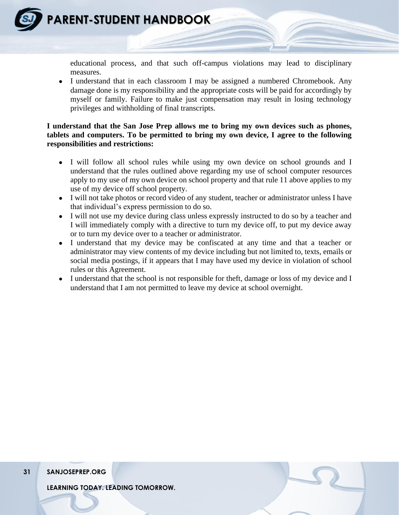

educational process, and that such off-campus violations may lead to disciplinary measures.

• I understand that in each classroom I may be assigned a numbered Chromebook. Any damage done is my responsibility and the appropriate costs will be paid for accordingly by myself or family. Failure to make just compensation may result in losing technology privileges and withholding of final transcripts.

#### **I understand that the San Jose Prep allows me to bring my own devices such as phones, tablets and computers. To be permitted to bring my own device, I agree to the following responsibilities and restrictions:**

- I will follow all school rules while using my own device on school grounds and I understand that the rules outlined above regarding my use of school computer resources apply to my use of my own device on school property and that rule 11 above applies to my use of my device off school property.
- I will not take photos or record video of any student, teacher or administrator unless I have that individual's express permission to do so.
- I will not use my device during class unless expressly instructed to do so by a teacher and I will immediately comply with a directive to turn my device off, to put my device away or to turn my device over to a teacher or administrator.
- I understand that my device may be confiscated at any time and that a teacher or administrator may view contents of my device including but not limited to, texts, emails or social media postings, if it appears that I may have used my device in violation of school rules or this Agreement.
- I understand that the school is not responsible for theft, damage or loss of my device and I understand that I am not permitted to leave my device at school overnight.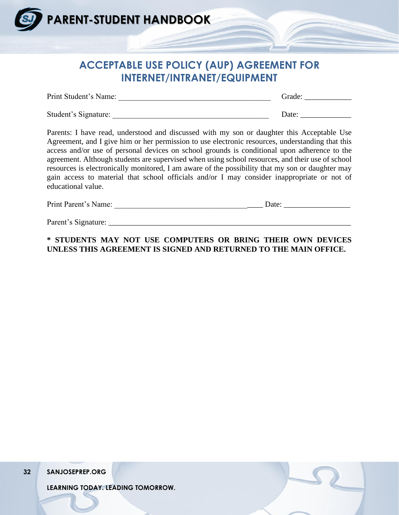

### **ACCEPTABLE USE POLICY (AUP) AGREEMENT FOR INTERNET/INTRANET/EQUIPMENT**

| Print Student's Name: | Grade: |
|-----------------------|--------|
|                       |        |
| Student's Signature:  | Date:  |

Parents: I have read, understood and discussed with my son or daughter this Acceptable Use Agreement, and I give him or her permission to use electronic resources, understanding that this access and/or use of personal devices on school grounds is conditional upon adherence to the agreement. Although students are supervised when using school resources, and their use of school resources is electronically monitored, I am aware of the possibility that my son or daughter may gain access to material that school officials and/or I may consider inappropriate or not of educational value.

| Print Parent's Name:<br>Jate |  |
|------------------------------|--|
|------------------------------|--|

Parent's Signature:

#### **\* STUDENTS MAY NOT USE COMPUTERS OR BRING THEIR OWN DEVICES UNLESS THIS AGREEMENT IS SIGNED AND RETURNED TO THE MAIN OFFICE.**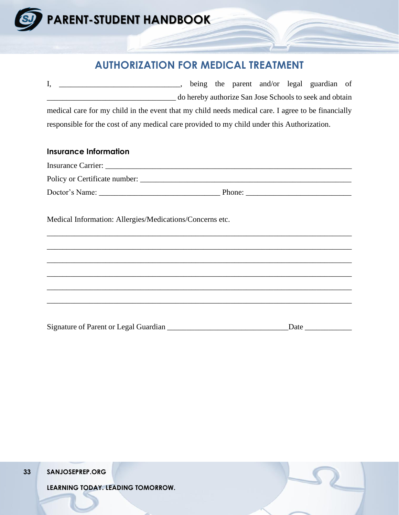

### **AUTHORIZATION FOR MEDICAL TREATMENT**

I, \_\_\_\_\_\_\_\_\_\_\_\_\_\_\_\_\_\_\_\_\_\_\_\_\_\_\_\_\_\_\_, being the parent and/or legal guardian of \_\_\_\_\_\_\_\_\_\_\_\_\_\_\_\_\_\_\_\_\_\_\_\_\_\_\_\_\_\_\_\_\_ do hereby authorize San Jose Schools to seek and obtain medical care for my child in the event that my child needs medical care. I agree to be financially responsible for the cost of any medical care provided to my child under this Authorization.

#### **Insurance Information**

| <b>Insurance Carrier:</b>     |        |
|-------------------------------|--------|
| Policy or Certificate number: |        |
| Doctor's Name:                | Phone: |

\_\_\_\_\_\_\_\_\_\_\_\_\_\_\_\_\_\_\_\_\_\_\_\_\_\_\_\_\_\_\_\_\_\_\_\_\_\_\_\_\_\_\_\_\_\_\_\_\_\_\_\_\_\_\_\_\_\_\_\_\_\_\_\_\_\_\_\_\_\_\_\_\_\_\_\_\_\_

\_\_\_\_\_\_\_\_\_\_\_\_\_\_\_\_\_\_\_\_\_\_\_\_\_\_\_\_\_\_\_\_\_\_\_\_\_\_\_\_\_\_\_\_\_\_\_\_\_\_\_\_\_\_\_\_\_\_\_\_\_\_\_\_\_\_\_\_\_\_\_\_\_\_\_\_\_\_

\_\_\_\_\_\_\_\_\_\_\_\_\_\_\_\_\_\_\_\_\_\_\_\_\_\_\_\_\_\_\_\_\_\_\_\_\_\_\_\_\_\_\_\_\_\_\_\_\_\_\_\_\_\_\_\_\_\_\_\_\_\_\_\_\_\_\_\_\_\_\_\_\_\_\_\_\_\_

\_\_\_\_\_\_\_\_\_\_\_\_\_\_\_\_\_\_\_\_\_\_\_\_\_\_\_\_\_\_\_\_\_\_\_\_\_\_\_\_\_\_\_\_\_\_\_\_\_\_\_\_\_\_\_\_\_\_\_\_\_\_\_\_\_\_\_\_\_\_\_\_\_\_\_\_\_\_

\_\_\_\_\_\_\_\_\_\_\_\_\_\_\_\_\_\_\_\_\_\_\_\_\_\_\_\_\_\_\_\_\_\_\_\_\_\_\_\_\_\_\_\_\_\_\_\_\_\_\_\_\_\_\_\_\_\_\_\_\_\_\_\_\_\_\_\_\_\_\_\_\_\_\_\_\_\_

\_\_\_\_\_\_\_\_\_\_\_\_\_\_\_\_\_\_\_\_\_\_\_\_\_\_\_\_\_\_\_\_\_\_\_\_\_\_\_\_\_\_\_\_\_\_\_\_\_\_\_\_\_\_\_\_\_\_\_\_\_\_\_\_\_\_\_\_\_\_\_\_\_\_\_\_\_\_

Medical Information: Allergies/Medications/Concerns etc.

Signature of Parent or Legal Guardian \_\_\_\_\_\_\_\_\_\_\_\_\_\_\_\_\_\_\_\_\_\_\_\_\_\_\_\_\_\_\_Date \_\_\_\_\_\_\_\_\_\_\_\_

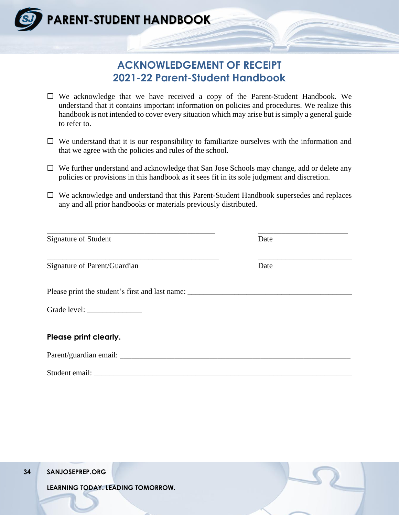

### **ACKNOWLEDGEMENT OF RECEIPT 2021-22 Parent-Student Handbook**

- $\Box$  We acknowledge that we have received a copy of the Parent-Student Handbook. We understand that it contains important information on policies and procedures. We realize this handbook is not intended to cover every situation which may arise but is simply a general guide to refer to.
- $\Box$  We understand that it is our responsibility to familiarize ourselves with the information and that we agree with the policies and rules of the school.
- $\Box$  We further understand and acknowledge that San Jose Schools may change, add or delete any policies or provisions in this handbook as it sees fit in its sole judgment and discretion.
- We acknowledge and understand that this Parent-Student Handbook supersedes and replaces any and all prior handbooks or materials previously distributed.

| Signature of Student                                                              | Date |  |
|-----------------------------------------------------------------------------------|------|--|
| Signature of Parent/Guardian                                                      | Date |  |
| Please print the student's first and last name: _________________________________ |      |  |
|                                                                                   |      |  |
| Please print clearly.                                                             |      |  |
| Parent/guardian email:                                                            |      |  |
| Student email:                                                                    |      |  |

**34 SANJOSEPREP.ORG**